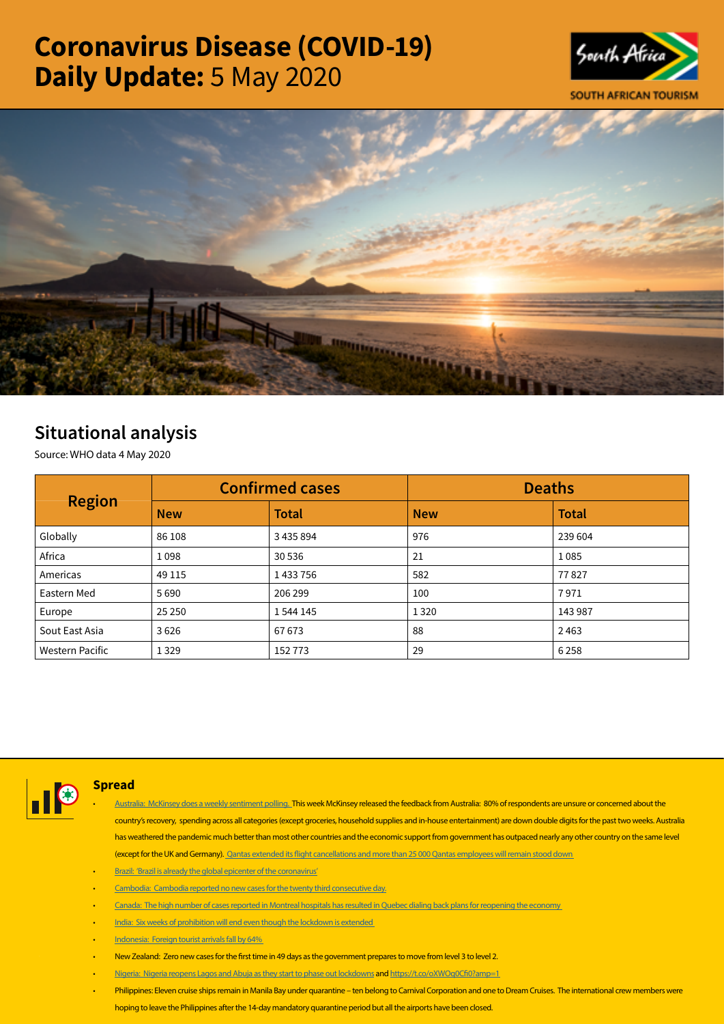# Coronavirus Disease (COVID-19) Daily Update: 5 May 2020





# Situational analysis

Source: WHO data 4 May 2020

| <b>Region</b>          | <b>Confirmed cases</b> |              | <b>Deaths</b> |              |  |
|------------------------|------------------------|--------------|---------------|--------------|--|
|                        | <b>New</b>             | <b>Total</b> | <b>New</b>    | <b>Total</b> |  |
| Globally               | 86 108                 | 3 435 894    | 976           | 239 604      |  |
| Africa                 | 1098                   | 30 536       | 21            | 1085         |  |
| Americas               | 49 1 15                | 1433756      | 582           | 77827        |  |
| Eastern Med            | 5690                   | 206 299      | 100           | 7971         |  |
| Europe                 | 25 250                 | 1 544 145    | 1320          | 143 987      |  |
| Sout East Asia         | 3626                   | 67673        | 88            | 2463         |  |
| <b>Western Pacific</b> | 1 3 2 9                | 152773       | 29            | 6258         |  |



# Spread

- [Australia: McKinsey does a weekly sentiment polling.]( https://is.gd/lG6Kw2) This week McKinsey released the feedback from Australia: 80% of respondents are unsure or concerned about the country's recovery, spending across all categories (except groceries, household supplies and in-house entertainment) are down double digits for the past two weeks. Australia has weathered the pandemic much better than most other countries and the economic support from government has outpaced nearly any other country on the same level (except for the UK and Germany). [Qantas extended its flight cancellations and more than 25 000 Qantas employees will remain stood down](https://twitter.com/i/events/1257467394055737346)
- [Brazil: 'Brazil is already the global epicenter of the coronavirus'](https://t.co/JNTNTYgk6b?amp=1)
- Cambodia: Cambodia reported no new cases for the twenty third consecutive day.
- [Canada: The high number of cases reported in Montreal hospitals has resulted in Quebec dialing back plans for reopening the economy](https://t.co/LBNSztRycj?amp=1)
- [India: Six weeks of prohibition will end even though the lockdown is extended](https://is.gd/6r8RCX)
- [Indonesia: Foreign tourist arrivals fall by 64%](https://t.co/UfdutwadPF?amp=1)
- New Zealand: Zero new cases for the first time in 49 days as the government prepares to move from level 3 to level 2.
- [Nigeria: Nigeria reopens Lagos and Abuja as they start to phase out lockdowns]( https://t.co/YQC8abiGob?amp=1) and<https://t.co/oXWOq0Cfi0?amp=1>
- Philippines: Eleven cruise ships remain in Manila Bay under quarantine ten belong to Carnival Corporation and one to Dream Cruises. The international crew members were hoping to leave the Philippines after the 14-day mandatory quarantine period but all the airports have been closed.